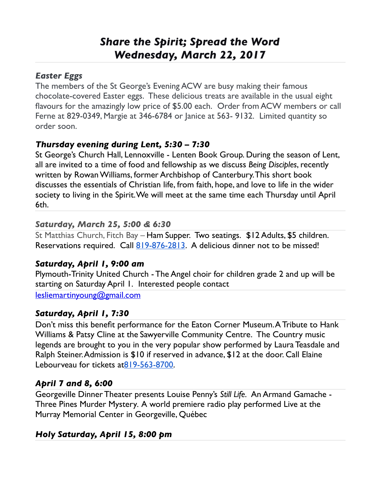# *Share the Spirit; Spread the Word Wednesday, March 22, 2017*

#### *Easter Eggs*

The members of the St George's Evening ACW are busy making their famous chocolate-covered Easter eggs. These delicious treats are available in the usual eight flavours for the amazingly low price of \$5.00 each. Order from ACW members or call Ferne at 829-0349, Margie at 346-6784 or Janice at 563- 9132. Limited quantity so order soon.

#### *Thursday evening during Lent, 5:30 – 7:30*

St George's Church Hall, Lennoxville - Lenten Book Group. During the season of Lent, all are invited to a time of food and fellowship as we discuss *Being Disciples*, recently written by Rowan Williams, former Archbishop of Canterbury. This short book discusses the essentials of Christian life, from faith, hope, and love to life in the wider society to living in the Spirit. We will meet at the same time each Thursday until April 6th.

#### *Saturday, March 25, 5:00 & 6:30*

St Matthias Church, Fitch Bay – Ham Supper. Two seatings. \$12 Adults, \$5 children. Reservations required. Call [819-876-2813.](tel:(819)%20876-2813) A delicious dinner not to be missed!

## *Saturday, April 1, 9:00 am*

Plymouth-Trinity United Church - The Angel choir for children grade 2 and up will be starting on Saturday April 1. Interested people contact

[lesliemartinyoung@gmail.com](mailto:lesliemartinyoung@gmail.com)

#### *Saturday, April 1, 7:30*

Don't miss this benefit performance for the Eaton Corner Museum. A Tribute to Hank Williams & Patsy Cline at the Sawyerville Community Centre. The Country music legends are brought to you in the very popular show performed by Laura Teasdale and Ralph Steiner. Admission is \$10 if reserved in advance, \$12 at the door. Call Elaine Lebourveau for tickets a[t819-563-8700.](tel:(819)%20563-8700)

#### *April 7 and 8, 6:00*

Georgeville Dinner Theater presents Louise Penny's *Still Life.* An Armand Gamache - Three Pines Murder Mystery*.* A world premiere radio play performed Live at the Murray Memorial Center in Georgeville, Québec

## *Holy Saturday, April 15, 8:00 pm*